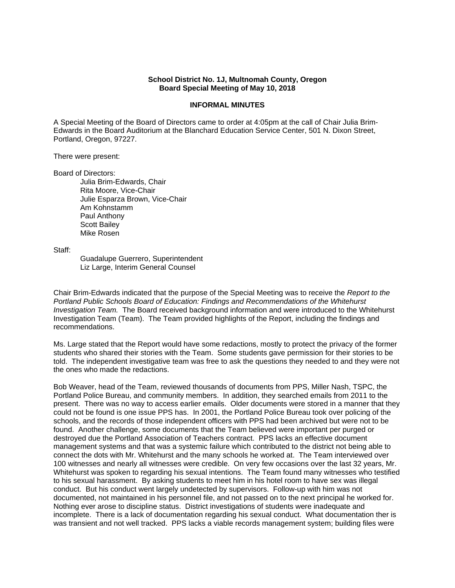## **School District No. 1J, Multnomah County, Oregon Board Special Meeting of May 10, 2018**

## **INFORMAL MINUTES**

A Special Meeting of the Board of Directors came to order at 4:05pm at the call of Chair Julia Brim-Edwards in the Board Auditorium at the Blanchard Education Service Center, 501 N. Dixon Street, Portland, Oregon, 97227.

## There were present:

## Board of Directors:

Julia Brim-Edwards, Chair Rita Moore, Vice-Chair Julie Esparza Brown, Vice-Chair Am Kohnstamm Paul Anthony Scott Bailey Mike Rosen

Staff:

 Guadalupe Guerrero, Superintendent Liz Large, Interim General Counsel

Chair Brim-Edwards indicated that the purpose of the Special Meeting was to receive the *Report to the Portland Public Schools Board of Education: Findings and Recommendations of the Whitehurst Investigation Team.* The Board received background information and were introduced to the Whitehurst Investigation Team (Team). The Team provided highlights of the Report, including the findings and recommendations.

Ms. Large stated that the Report would have some redactions, mostly to protect the privacy of the former students who shared their stories with the Team. Some students gave permission for their stories to be told. The independent investigative team was free to ask the questions they needed to and they were not the ones who made the redactions.

Bob Weaver, head of the Team, reviewed thousands of documents from PPS, Miller Nash, TSPC, the Portland Police Bureau, and community members. In addition, they searched emails from 2011 to the present. There was no way to access earlier emails. Older documents were stored in a manner that they could not be found is one issue PPS has. In 2001, the Portland Police Bureau took over policing of the schools, and the records of those independent officers with PPS had been archived but were not to be found. Another challenge, some documents that the Team believed were important per purged or destroyed due the Portland Association of Teachers contract. PPS lacks an effective document management systems and that was a systemic failure which contributed to the district not being able to connect the dots with Mr. Whitehurst and the many schools he worked at. The Team interviewed over 100 witnesses and nearly all witnesses were credible. On very few occasions over the last 32 years, Mr. Whitehurst was spoken to regarding his sexual intentions. The Team found many witnesses who testified to his sexual harassment. By asking students to meet him in his hotel room to have sex was illegal conduct. But his conduct went largely undetected by supervisors. Follow-up with him was not documented, not maintained in his personnel file, and not passed on to the next principal he worked for. Nothing ever arose to discipline status. District investigations of students were inadequate and incomplete. There is a lack of documentation regarding his sexual conduct. What documentation ther is was transient and not well tracked. PPS lacks a viable records management system; building files were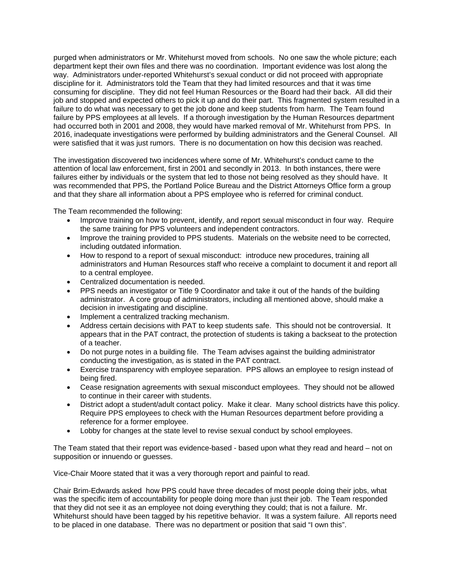purged when administrators or Mr. Whitehurst moved from schools. No one saw the whole picture; each department kept their own files and there was no coordination. Important evidence was lost along the way. Administrators under-reported Whitehurst's sexual conduct or did not proceed with appropriate discipline for it. Administrators told the Team that they had limited resources and that it was time consuming for discipline. They did not feel Human Resources or the Board had their back. All did their job and stopped and expected others to pick it up and do their part. This fragmented system resulted in a failure to do what was necessary to get the job done and keep students from harm. The Team found failure by PPS employees at all levels. If a thorough investigation by the Human Resources department had occurred both in 2001 and 2008, they would have marked removal of Mr. Whitehurst from PPS. In 2016, inadequate investigations were performed by building administrators and the General Counsel. All were satisfied that it was just rumors. There is no documentation on how this decision was reached.

The investigation discovered two incidences where some of Mr. Whitehurst's conduct came to the attention of local law enforcement, first in 2001 and secondly in 2013. In both instances, there were failures either by individuals or the system that led to those not being resolved as they should have. It was recommended that PPS, the Portland Police Bureau and the District Attorneys Office form a group and that they share all information about a PPS employee who is referred for criminal conduct.

The Team recommended the following:

- Improve training on how to prevent, identify, and report sexual misconduct in four way. Require the same training for PPS volunteers and independent contractors.
- Improve the training provided to PPS students. Materials on the website need to be corrected, including outdated information.
- How to respond to a report of sexual misconduct: introduce new procedures, training all administrators and Human Resources staff who receive a complaint to document it and report all to a central employee.
- Centralized documentation is needed.
- PPS needs an investigator or Title 9 Coordinator and take it out of the hands of the building administrator. A core group of administrators, including all mentioned above, should make a decision in investigating and discipline.
- Implement a centralized tracking mechanism.
- Address certain decisions with PAT to keep students safe. This should not be controversial. It appears that in the PAT contract, the protection of students is taking a backseat to the protection of a teacher.
- Do not purge notes in a building file. The Team advises against the building administrator conducting the investigation, as is stated in the PAT contract.
- Exercise transparency with employee separation. PPS allows an employee to resign instead of being fired.
- Cease resignation agreements with sexual misconduct employees. They should not be allowed to continue in their career with students.
- District adopt a student/adult contact policy. Make it clear. Many school districts have this policy. Require PPS employees to check with the Human Resources department before providing a reference for a former employee.
- Lobby for changes at the state level to revise sexual conduct by school employees.

The Team stated that their report was evidence-based - based upon what they read and heard – not on supposition or innuendo or guesses.

Vice-Chair Moore stated that it was a very thorough report and painful to read.

Chair Brim-Edwards asked how PPS could have three decades of most people doing their jobs, what was the specific item of accountability for people doing more than just their job. The Team responded that they did not see it as an employee not doing everything they could; that is not a failure. Mr. Whitehurst should have been tagged by his repetitive behavior. It was a system failure. All reports need to be placed in one database. There was no department or position that said "I own this".